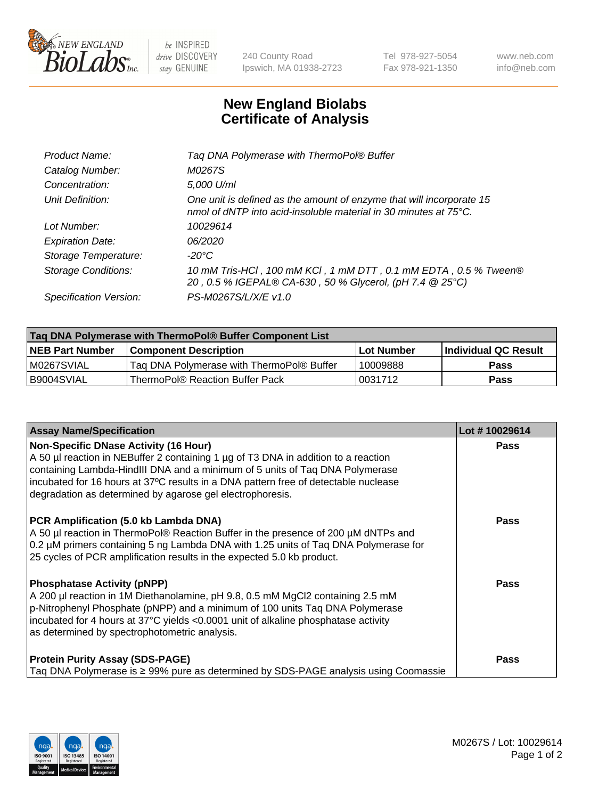

 $be$  INSPIRED drive DISCOVERY stay GENUINE

240 County Road Ipswich, MA 01938-2723 Tel 978-927-5054 Fax 978-921-1350 www.neb.com info@neb.com

## **New England Biolabs Certificate of Analysis**

| Taq DNA Polymerase with ThermoPol® Buffer                                                                                                |
|------------------------------------------------------------------------------------------------------------------------------------------|
| M0267S                                                                                                                                   |
| 5,000 U/ml                                                                                                                               |
| One unit is defined as the amount of enzyme that will incorporate 15<br>nmol of dNTP into acid-insoluble material in 30 minutes at 75°C. |
| 10029614                                                                                                                                 |
| 06/2020                                                                                                                                  |
| $-20^{\circ}$ C                                                                                                                          |
| 10 mM Tris-HCl, 100 mM KCl, 1 mM DTT, 0.1 mM EDTA, 0.5 % Tween®<br>20, 0.5 % IGEPAL® CA-630, 50 % Glycerol, (pH 7.4 @ 25°C)              |
| PS-M0267S/L/X/E v1.0                                                                                                                     |
|                                                                                                                                          |

| Tag DNA Polymerase with ThermoPol® Buffer Component List |                                           |                   |                      |  |
|----------------------------------------------------------|-------------------------------------------|-------------------|----------------------|--|
| <b>NEB Part Number</b>                                   | <b>Component Description</b>              | <b>Lot Number</b> | Individual QC Result |  |
| M0267SVIAL                                               | Tag DNA Polymerase with ThermoPol® Buffer | 10009888          | <b>Pass</b>          |  |
| B9004SVIAL                                               | ThermoPol® Reaction Buffer Pack           | '0031712          | <b>Pass</b>          |  |

| <b>Assay Name/Specification</b>                                                                                                                                                                                                                                                                                                                                        | Lot #10029614 |
|------------------------------------------------------------------------------------------------------------------------------------------------------------------------------------------------------------------------------------------------------------------------------------------------------------------------------------------------------------------------|---------------|
| <b>Non-Specific DNase Activity (16 Hour)</b><br>A 50 µl reaction in NEBuffer 2 containing 1 µg of T3 DNA in addition to a reaction<br>containing Lambda-HindIII DNA and a minimum of 5 units of Taq DNA Polymerase<br>incubated for 16 hours at 37°C results in a DNA pattern free of detectable nuclease<br>degradation as determined by agarose gel electrophoresis. | <b>Pass</b>   |
| PCR Amplification (5.0 kb Lambda DNA)<br>A 50 µl reaction in ThermoPol® Reaction Buffer in the presence of 200 µM dNTPs and<br>0.2 µM primers containing 5 ng Lambda DNA with 1.25 units of Taq DNA Polymerase for<br>25 cycles of PCR amplification results in the expected 5.0 kb product.                                                                           | <b>Pass</b>   |
| <b>Phosphatase Activity (pNPP)</b><br>A 200 µl reaction in 1M Diethanolamine, pH 9.8, 0.5 mM MgCl2 containing 2.5 mM<br>p-Nitrophenyl Phosphate (pNPP) and a minimum of 100 units Taq DNA Polymerase<br>incubated for 4 hours at 37°C yields <0.0001 unit of alkaline phosphatase activity<br>as determined by spectrophotometric analysis.                            | Pass          |
| <b>Protein Purity Assay (SDS-PAGE)</b><br>Taq DNA Polymerase is $\geq$ 99% pure as determined by SDS-PAGE analysis using Coomassie                                                                                                                                                                                                                                     | Pass          |